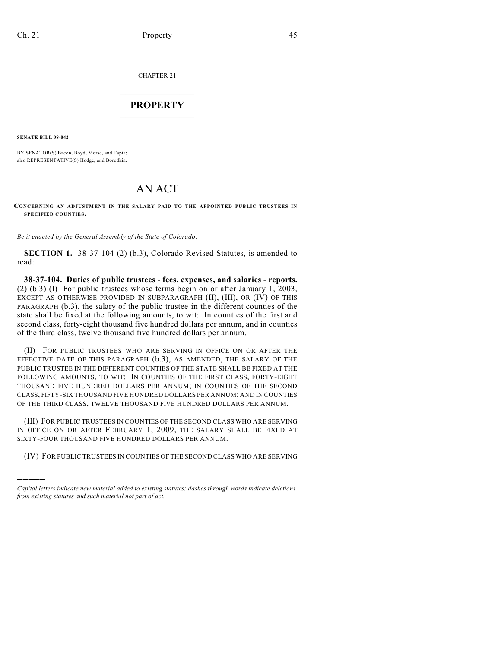CHAPTER 21

## $\overline{\phantom{a}}$  . The set of the set of the set of the set of the set of the set of the set of the set of the set of the set of the set of the set of the set of the set of the set of the set of the set of the set of the set o **PROPERTY**  $\_$   $\_$   $\_$   $\_$   $\_$   $\_$   $\_$   $\_$   $\_$

**SENATE BILL 08-042**

)))))

BY SENATOR(S) Bacon, Boyd, Morse, and Tapia; also REPRESENTATIVE(S) Hodge, and Borodkin.

## AN ACT

## **CONCERNING AN ADJUSTMENT IN THE SALARY PAID TO THE APPOINTED PUBLIC TRUSTEES IN SPECIFIED COUNTIES.**

*Be it enacted by the General Assembly of the State of Colorado:*

**SECTION 1.** 38-37-104 (2) (b.3), Colorado Revised Statutes, is amended to read:

**38-37-104. Duties of public trustees - fees, expenses, and salaries - reports.** (2) (b.3) (I) For public trustees whose terms begin on or after January 1, 2003, EXCEPT AS OTHERWISE PROVIDED IN SUBPARAGRAPH (II), (III), OR (IV) OF THIS PARAGRAPH (b.3), the salary of the public trustee in the different counties of the state shall be fixed at the following amounts, to wit: In counties of the first and second class, forty-eight thousand five hundred dollars per annum, and in counties of the third class, twelve thousand five hundred dollars per annum.

(II) FOR PUBLIC TRUSTEES WHO ARE SERVING IN OFFICE ON OR AFTER THE EFFECTIVE DATE OF THIS PARAGRAPH (b.3), AS AMENDED, THE SALARY OF THE PUBLIC TRUSTEE IN THE DIFFERENT COUNTIES OF THE STATE SHALL BE FIXED AT THE FOLLOWING AMOUNTS, TO WIT: IN COUNTIES OF THE FIRST CLASS, FORTY-EIGHT THOUSAND FIVE HUNDRED DOLLARS PER ANNUM; IN COUNTIES OF THE SECOND CLASS, FIFTY-SIX THOUSAND FIVE HUNDRED DOLLARS PER ANNUM; AND IN COUNTIES OF THE THIRD CLASS, TWELVE THOUSAND FIVE HUNDRED DOLLARS PER ANNUM.

(III) FOR PUBLIC TRUSTEES IN COUNTIES OF THE SECOND CLASS WHO ARE SERVING IN OFFICE ON OR AFTER FEBRUARY 1, 2009, THE SALARY SHALL BE FIXED AT SIXTY-FOUR THOUSAND FIVE HUNDRED DOLLARS PER ANNUM.

(IV) FOR PUBLIC TRUSTEES IN COUNTIES OF THE SECOND CLASS WHO ARE SERVING

*Capital letters indicate new material added to existing statutes; dashes through words indicate deletions from existing statutes and such material not part of act.*